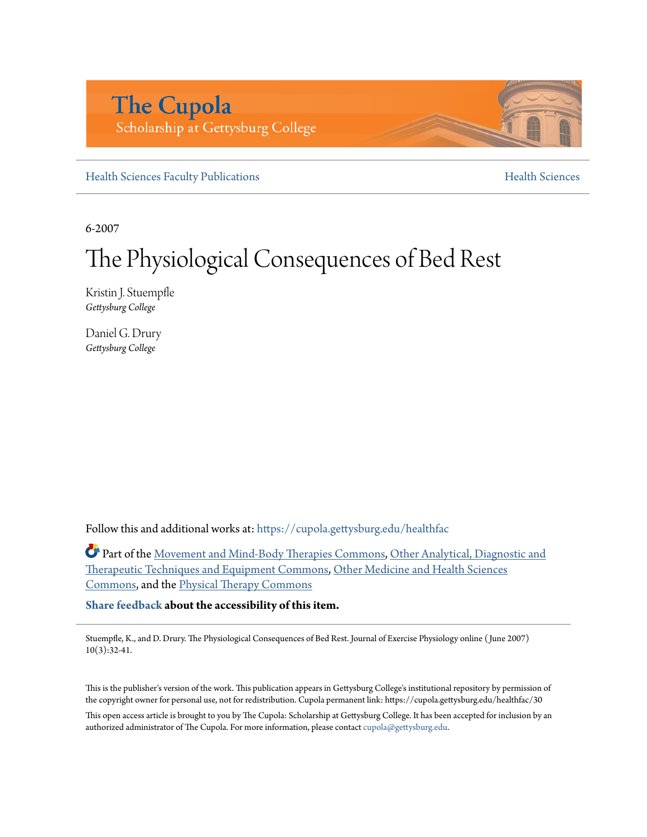# **The Cupola** Scholarship at Gettysburg College

[Health Sciences Faculty Publications](https://cupola.gettysburg.edu/healthfac?utm_source=cupola.gettysburg.edu%2Fhealthfac%2F30&utm_medium=PDF&utm_campaign=PDFCoverPages) **[Health Sciences](https://cupola.gettysburg.edu/healthsci?utm_source=cupola.gettysburg.edu%2Fhealthfac%2F30&utm_medium=PDF&utm_campaign=PDFCoverPages)** Health Sciences

6-2007

# The Physiological Consequences of Bed Rest

Kristin J. Stuempfle *Gettysburg College*

Daniel G. Drury *Gettysburg College*

Follow this and additional works at: [https://cupola.gettysburg.edu/healthfac](https://cupola.gettysburg.edu/healthfac?utm_source=cupola.gettysburg.edu%2Fhealthfac%2F30&utm_medium=PDF&utm_campaign=PDFCoverPages)

Part of the [Movement and Mind-Body Therapies Commons,](http://network.bepress.com/hgg/discipline/751?utm_source=cupola.gettysburg.edu%2Fhealthfac%2F30&utm_medium=PDF&utm_campaign=PDFCoverPages) [Other Analytical, Diagnostic and](http://network.bepress.com/hgg/discipline/994?utm_source=cupola.gettysburg.edu%2Fhealthfac%2F30&utm_medium=PDF&utm_campaign=PDFCoverPages) [Therapeutic Techniques and Equipment Commons,](http://network.bepress.com/hgg/discipline/994?utm_source=cupola.gettysburg.edu%2Fhealthfac%2F30&utm_medium=PDF&utm_campaign=PDFCoverPages) [Other Medicine and Health Sciences](http://network.bepress.com/hgg/discipline/772?utm_source=cupola.gettysburg.edu%2Fhealthfac%2F30&utm_medium=PDF&utm_campaign=PDFCoverPages) [Commons,](http://network.bepress.com/hgg/discipline/772?utm_source=cupola.gettysburg.edu%2Fhealthfac%2F30&utm_medium=PDF&utm_campaign=PDFCoverPages) and the [Physical Therapy Commons](http://network.bepress.com/hgg/discipline/754?utm_source=cupola.gettysburg.edu%2Fhealthfac%2F30&utm_medium=PDF&utm_campaign=PDFCoverPages)

**[Share feedback](https://docs.google.com/a/bepress.com/forms/d/1h9eEcpBPj5POs5oO6Y5A0blXRmZqykoonyYiZUNyEq8/viewform) about the accessibility of this item.**

Stuempfle, K., and D. Drury. The Physiological Consequences of Bed Rest. Journal of Exercise Physiology online ( June 2007) 10(3):32-41.

This is the publisher's version of the work. This publication appears in Gettysburg College's institutional repository by permission of the copyright owner for personal use, not for redistribution. Cupola permanent link: https://cupola.gettysburg.edu/healthfac/30

This open access article is brought to you by The Cupola: Scholarship at Gettysburg College. It has been accepted for inclusion by an authorized administrator of The Cupola. For more information, please contact [cupola@gettysburg.edu.](mailto:cupola@gettysburg.edu)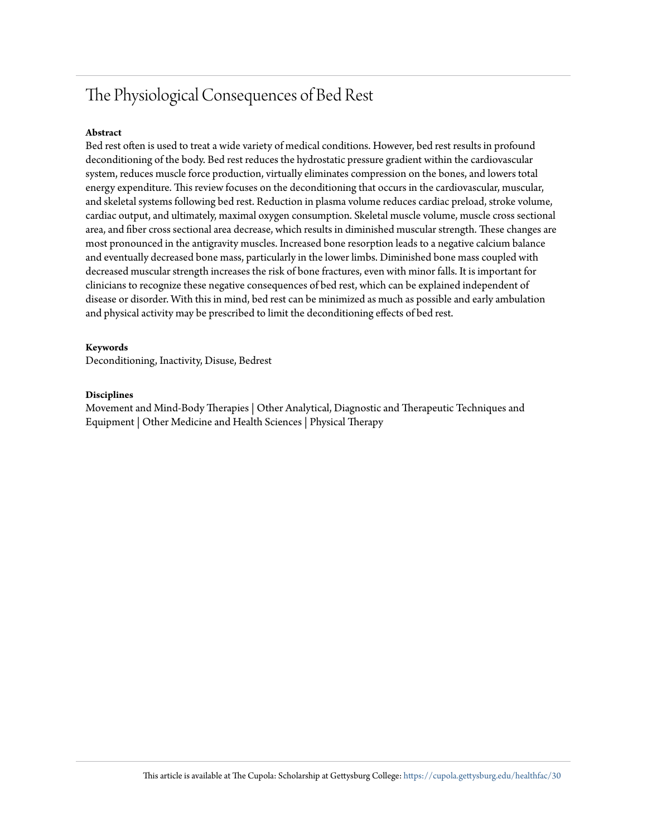# The Physiological Consequences of Bed Rest

#### **Abstract**

Bed rest often is used to treat a wide variety of medical conditions. However, bed rest results in profound deconditioning of the body. Bed rest reduces the hydrostatic pressure gradient within the cardiovascular system, reduces muscle force production, virtually eliminates compression on the bones, and lowers total energy expenditure. This review focuses on the deconditioning that occurs in the cardiovascular, muscular, and skeletal systems following bed rest. Reduction in plasma volume reduces cardiac preload, stroke volume, cardiac output, and ultimately, maximal oxygen consumption. Skeletal muscle volume, muscle cross sectional area, and fiber cross sectional area decrease, which results in diminished muscular strength. These changes are most pronounced in the antigravity muscles. Increased bone resorption leads to a negative calcium balance and eventually decreased bone mass, particularly in the lower limbs. Diminished bone mass coupled with decreased muscular strength increases the risk of bone fractures, even with minor falls. It is important for clinicians to recognize these negative consequences of bed rest, which can be explained independent of disease or disorder. With this in mind, bed rest can be minimized as much as possible and early ambulation and physical activity may be prescribed to limit the deconditioning effects of bed rest.

#### **Keywords**

Deconditioning, Inactivity, Disuse, Bedrest

#### **Disciplines**

Movement and Mind-Body Therapies | Other Analytical, Diagnostic and Therapeutic Techniques and Equipment | Other Medicine and Health Sciences | Physical Therapy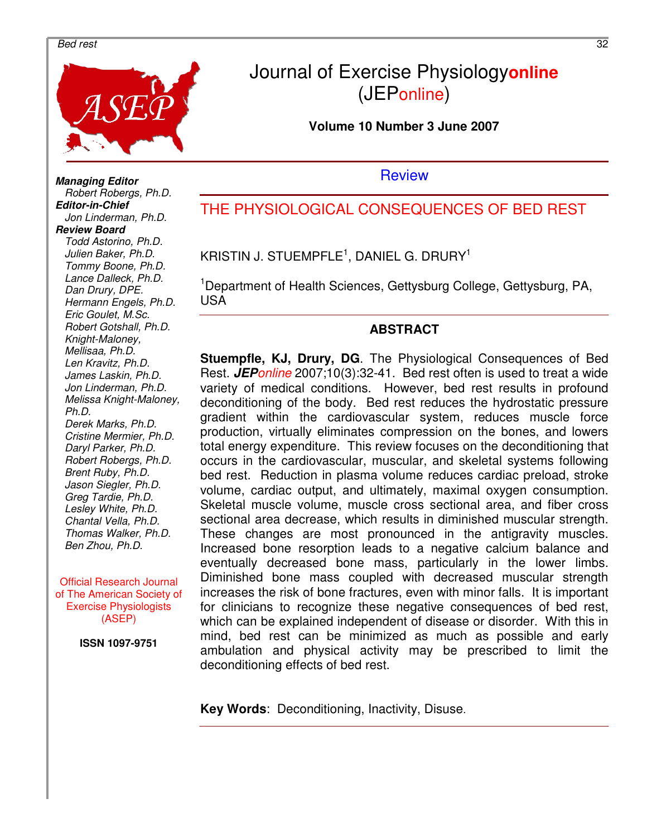#### and *Bed rest* 32



# Journal of Exercise Physiology**online** (JEPonline)

**Volume 10 Number 3 June 2007** 

**Review** 

THE PHYSIOLOGICAL CONSEQUENCES OF BED REST

KRISTIN J. STUEMPFLE $^1$ , DANIEL G. DRURY $^1$ 

<sup>1</sup>Department of Health Sciences, Gettysburg College, Gettysburg, PA, USA

#### **ABSTRACT**

**Stuempfle, KJ, Drury, DG**. The Physiological Consequences of Bed Rest. **JEP**online 2007;10(3):32-41. Bed rest often is used to treat a wide variety of medical conditions. However, bed rest results in profound deconditioning of the body. Bed rest reduces the hydrostatic pressure gradient within the cardiovascular system, reduces muscle force production, virtually eliminates compression on the bones, and lowers total energy expenditure. This review focuses on the deconditioning that occurs in the cardiovascular, muscular, and skeletal systems following bed rest. Reduction in plasma volume reduces cardiac preload, stroke volume, cardiac output, and ultimately, maximal oxygen consumption. Skeletal muscle volume, muscle cross sectional area, and fiber cross sectional area decrease, which results in diminished muscular strength. These changes are most pronounced in the antigravity muscles. Increased bone resorption leads to a negative calcium balance and eventually decreased bone mass, particularly in the lower limbs. Diminished bone mass coupled with decreased muscular strength increases the risk of bone fractures, even with minor falls. It is important for clinicians to recognize these negative consequences of bed rest, which can be explained independent of disease or disorder. With this in mind, bed rest can be minimized as much as possible and early ambulation and physical activity may be prescribed to limit the deconditioning effects of bed rest.

**Key Words**: Deconditioning, Inactivity, Disuse.

**Managing Editor**  Robert Robergs, Ph.D. **Editor-in-Chief**  Jon Linderman, Ph.D. **Review Board**  Todd Astorino, Ph.D. Julien Baker, Ph.D. Tommy Boone, Ph.D. Lance Dalleck, Ph.D. Dan Drury, DPE. Hermann Engels, Ph.D. Eric Goulet, M.Sc. Robert Gotshall, Ph.D. Knight-Maloney, Mellisaa, Ph.D. Len Kravitz, Ph.D. James Laskin, Ph.D. Jon Linderman, Ph.D. Melissa Knight-Maloney, Ph.D. Derek Marks, Ph.D. Cristine Mermier, Ph.D. Daryl Parker, Ph.D. Robert Robergs, Ph.D. Brent Ruby, Ph.D. Jason Siegler, Ph.D. Greg Tardie, Ph.D. Lesley White, Ph.D. Chantal Vella, Ph.D. Thomas Walker, Ph.D. Ben Zhou, Ph.D.

Official Research Journal of The American Society of Exercise Physiologists (ASEP)

**ISSN 1097-9751**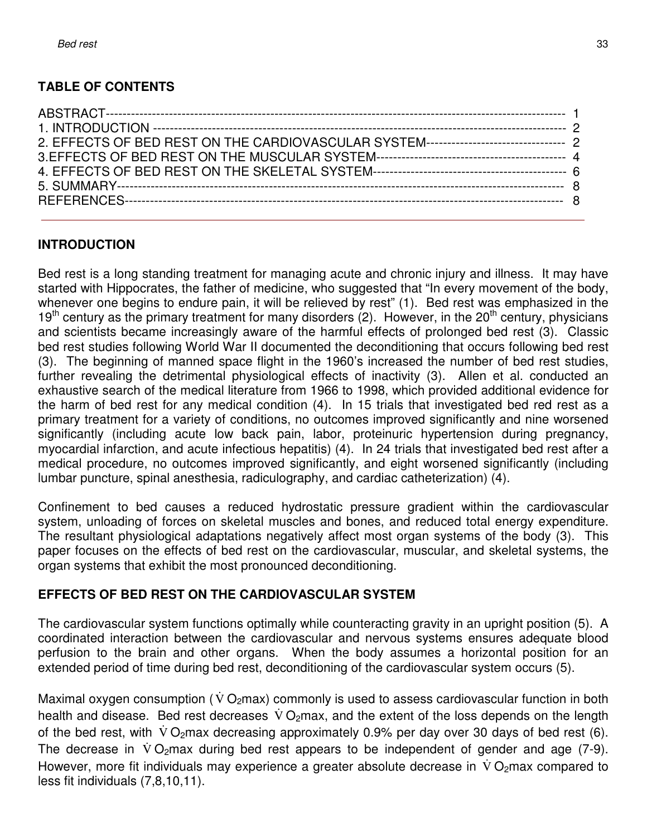## **TABLE OF CONTENTS**

#### **INTRODUCTION**

Bed rest is a long standing treatment for managing acute and chronic injury and illness. It may have started with Hippocrates, the father of medicine, who suggested that "In every movement of the body, whenever one begins to endure pain, it will be relieved by rest" (1). Bed rest was emphasized in the 19<sup>th</sup> century as the primary treatment for many disorders (2). However, in the 20<sup>th</sup> century, physicians and scientists became increasingly aware of the harmful effects of prolonged bed rest (3). Classic bed rest studies following World War II documented the deconditioning that occurs following bed rest (3). The beginning of manned space flight in the 1960's increased the number of bed rest studies, further revealing the detrimental physiological effects of inactivity (3). Allen et al. conducted an exhaustive search of the medical literature from 1966 to 1998, which provided additional evidence for the harm of bed rest for any medical condition (4). In 15 trials that investigated bed red rest as a primary treatment for a variety of conditions, no outcomes improved significantly and nine worsened significantly (including acute low back pain, labor, proteinuric hypertension during pregnancy, myocardial infarction, and acute infectious hepatitis) (4). In 24 trials that investigated bed rest after a medical procedure, no outcomes improved significantly, and eight worsened significantly (including lumbar puncture, spinal anesthesia, radiculography, and cardiac catheterization) (4).

Confinement to bed causes a reduced hydrostatic pressure gradient within the cardiovascular system, unloading of forces on skeletal muscles and bones, and reduced total energy expenditure. The resultant physiological adaptations negatively affect most organ systems of the body (3). This paper focuses on the effects of bed rest on the cardiovascular, muscular, and skeletal systems, the organ systems that exhibit the most pronounced deconditioning.

#### **EFFECTS OF BED REST ON THE CARDIOVASCULAR SYSTEM**

The cardiovascular system functions optimally while counteracting gravity in an upright position (5). A coordinated interaction between the cardiovascular and nervous systems ensures adequate blood perfusion to the brain and other organs. When the body assumes a horizontal position for an extended period of time during bed rest, deconditioning of the cardiovascular system occurs (5).

Maximal oxygen consumption ( $\dot{V}O_2$ max) commonly is used to assess cardiovascular function in both health and disease. Bed rest decreases  $\dot{V} O_2$ max, and the extent of the loss depends on the length of the bed rest, with VO<sub>2</sub>max decreasing approximately 0.9% per day over 30 days of bed rest (6). The decrease in  $\dot{V} O_2$ max during bed rest appears to be independent of gender and age (7-9). However, more fit individuals may experience a greater absolute decrease in  $\dot{V} O_2$ max compared to less fit individuals (7,8,10,11).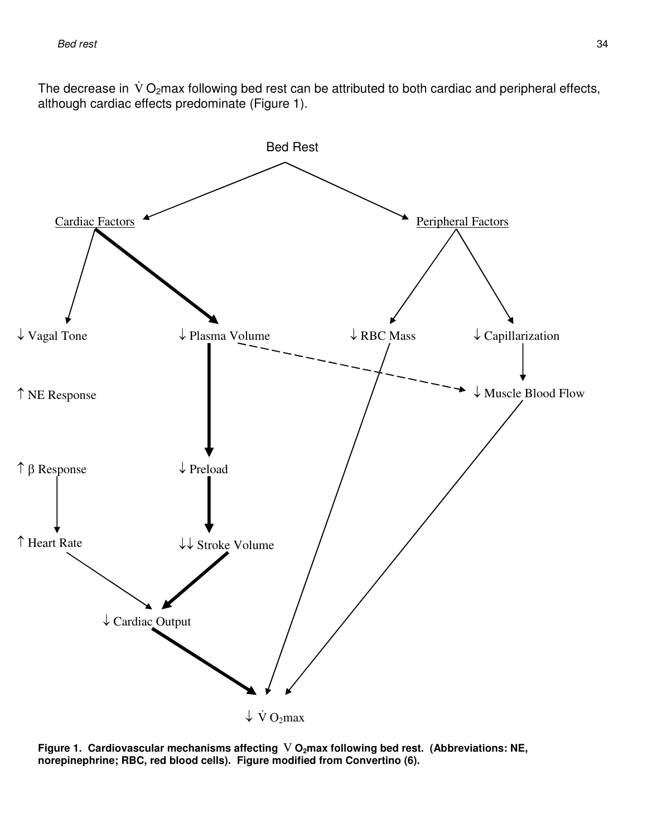The decrease in  $\dot{V} O_2$ max following bed rest can be attributed to both cardiac and peripheral effects, although cardiac effects predominate (Figure 1).



Figure 1. Cardiovascular mechanisms affecting V O<sub>2</sub>max following bed rest. (Abbreviations: NE, **norepinephrine; RBC, red blood cells). Figure modified from Convertino (6).**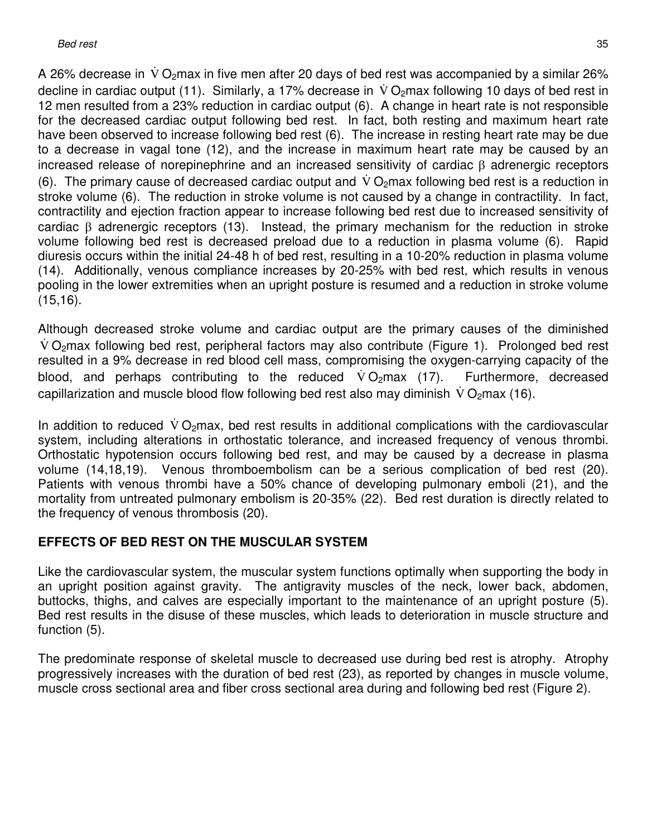A 26% decrease in  $\dot{V} O_2$ max in five men after 20 days of bed rest was accompanied by a similar 26% decline in cardiac output (11). Similarly, a 17% decrease in  $\dot{V}O_2$ max following 10 days of bed rest in 12 men resulted from a 23% reduction in cardiac output (6). A change in heart rate is not responsible for the decreased cardiac output following bed rest. In fact, both resting and maximum heart rate have been observed to increase following bed rest (6). The increase in resting heart rate may be due to a decrease in vagal tone (12), and the increase in maximum heart rate may be caused by an increased release of norepinephrine and an increased sensitivity of cardiac β adrenergic receptors (6). The primary cause of decreased cardiac output and  $\dot{V}O_2$  max following bed rest is a reduction in stroke volume (6). The reduction in stroke volume is not caused by a change in contractility. In fact, contractility and ejection fraction appear to increase following bed rest due to increased sensitivity of cardiac β adrenergic receptors (13). Instead, the primary mechanism for the reduction in stroke volume following bed rest is decreased preload due to a reduction in plasma volume (6). Rapid diuresis occurs within the initial 24-48 h of bed rest, resulting in a 10-20% reduction in plasma volume (14). Additionally, venous compliance increases by 20-25% with bed rest, which results in venous pooling in the lower extremities when an upright posture is resumed and a reduction in stroke volume (15,16).

Although decreased stroke volume and cardiac output are the primary causes of the diminished  $\dot{V}$  O<sub>2</sub>max following bed rest, peripheral factors may also contribute (Figure 1). Prolonged bed rest resulted in a 9% decrease in red blood cell mass, compromising the oxygen-carrying capacity of the blood, and perhaps contributing to the reduced  $\dot{V}O_2$ max (17). Furthermore, decreased capillarization and muscle blood flow following bed rest also may diminish  $\dot{V}O_2$ max (16).

In addition to reduced  $\dot{V}O_2$ max, bed rest results in additional complications with the cardiovascular system, including alterations in orthostatic tolerance, and increased frequency of venous thrombi. Orthostatic hypotension occurs following bed rest, and may be caused by a decrease in plasma volume (14,18,19). Venous thromboembolism can be a serious complication of bed rest (20). Patients with venous thrombi have a 50% chance of developing pulmonary emboli (21), and the mortality from untreated pulmonary embolism is 20-35% (22). Bed rest duration is directly related to the frequency of venous thrombosis (20).

## **EFFECTS OF BED REST ON THE MUSCULAR SYSTEM**

Like the cardiovascular system, the muscular system functions optimally when supporting the body in an upright position against gravity. The antigravity muscles of the neck, lower back, abdomen, buttocks, thighs, and calves are especially important to the maintenance of an upright posture (5). Bed rest results in the disuse of these muscles, which leads to deterioration in muscle structure and function (5).

The predominate response of skeletal muscle to decreased use during bed rest is atrophy. Atrophy progressively increases with the duration of bed rest (23), as reported by changes in muscle volume, muscle cross sectional area and fiber cross sectional area during and following bed rest (Figure 2).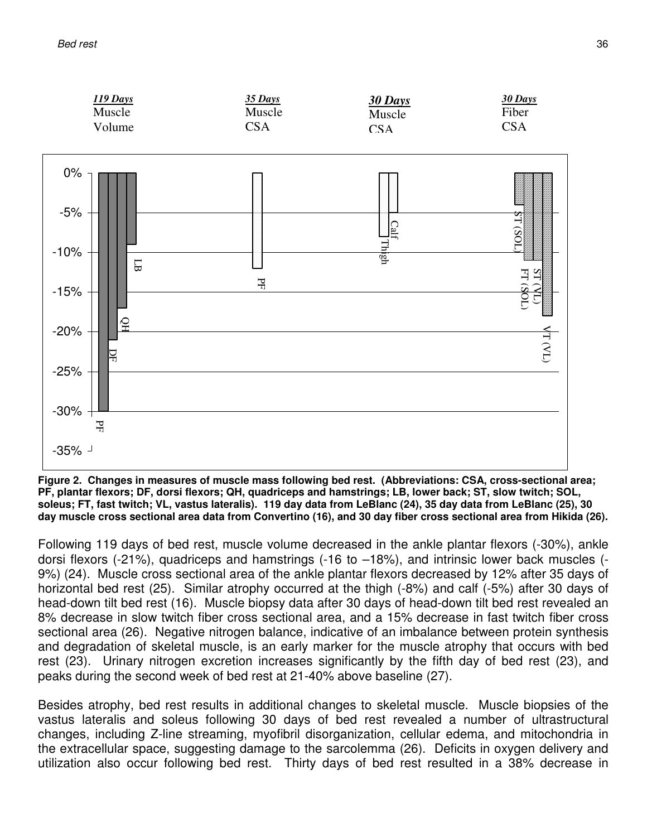

**Figure 2. Changes in measures of muscle mass following bed rest. (Abbreviations: CSA, cross-sectional area; PF, plantar flexors; DF, dorsi flexors; QH, quadriceps and hamstrings; LB, lower back; ST, slow twitch; SOL, soleus; FT, fast twitch; VL, vastus lateralis). 119 day data from LeBlanc (24), 35 day data from LeBlanc (25), 30 day muscle cross sectional area data from Convertino (16), and 30 day fiber cross sectional area from Hikida (26).**

Following 119 days of bed rest, muscle volume decreased in the ankle plantar flexors (-30%), ankle dorsi flexors (-21%), quadriceps and hamstrings (-16 to –18%), and intrinsic lower back muscles (- 9%) (24). Muscle cross sectional area of the ankle plantar flexors decreased by 12% after 35 days of horizontal bed rest (25). Similar atrophy occurred at the thigh (-8%) and calf (-5%) after 30 days of head-down tilt bed rest (16). Muscle biopsy data after 30 days of head-down tilt bed rest revealed an 8% decrease in slow twitch fiber cross sectional area, and a 15% decrease in fast twitch fiber cross sectional area (26). Negative nitrogen balance, indicative of an imbalance between protein synthesis and degradation of skeletal muscle, is an early marker for the muscle atrophy that occurs with bed rest (23). Urinary nitrogen excretion increases significantly by the fifth day of bed rest (23), and peaks during the second week of bed rest at 21-40% above baseline (27).

Besides atrophy, bed rest results in additional changes to skeletal muscle. Muscle biopsies of the vastus lateralis and soleus following 30 days of bed rest revealed a number of ultrastructural changes, including Z-line streaming, myofibril disorganization, cellular edema, and mitochondria in the extracellular space, suggesting damage to the sarcolemma (26). Deficits in oxygen delivery and utilization also occur following bed rest. Thirty days of bed rest resulted in a 38% decrease in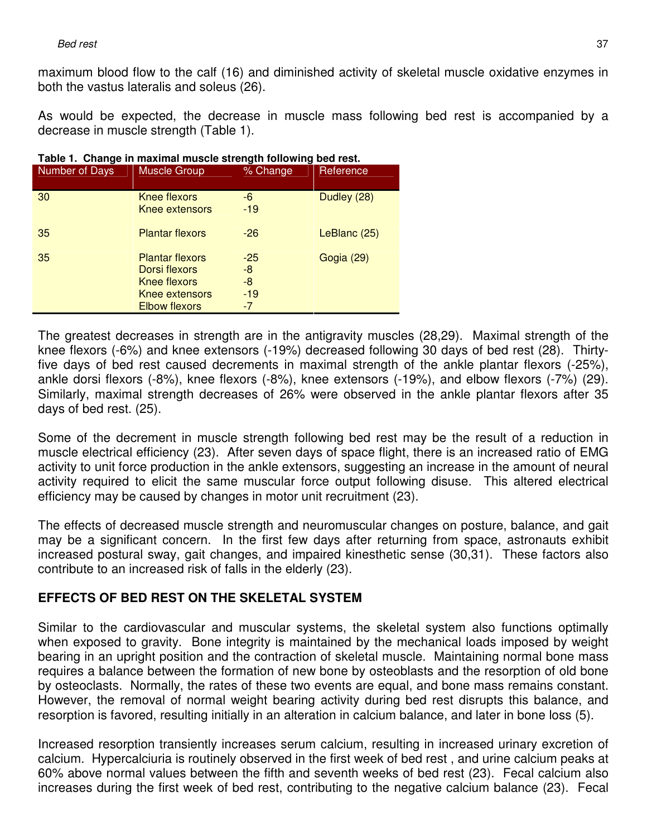maximum blood flow to the calf (16) and diminished activity of skeletal muscle oxidative enzymes in both the vastus lateralis and soleus (26).

As would be expected, the decrease in muscle mass following bed rest is accompanied by a decrease in muscle strength (Table 1).

| Table 1. Change in maximal muscle strength following bed rest. |                                                                                                   |                                    |              |  |  |
|----------------------------------------------------------------|---------------------------------------------------------------------------------------------------|------------------------------------|--------------|--|--|
| Number of Days                                                 | <b>Muscle Group</b>                                                                               | % Change                           | Reference    |  |  |
| 30                                                             | Knee flexors<br>Knee extensors                                                                    | -6<br>$-19$                        | Dudley (28)  |  |  |
| 35                                                             | <b>Plantar flexors</b>                                                                            | $-26$                              | LeBlanc (25) |  |  |
| 35                                                             | <b>Plantar flexors</b><br>Dorsi flexors<br>Knee flexors<br>Knee extensors<br><b>Elbow flexors</b> | $-25$<br>-8<br>$-8$<br>$-19$<br>-7 | Gogia (29)   |  |  |

The greatest decreases in strength are in the antigravity muscles (28,29). Maximal strength of the knee flexors (-6%) and knee extensors (-19%) decreased following 30 days of bed rest (28). Thirtyfive days of bed rest caused decrements in maximal strength of the ankle plantar flexors (-25%), ankle dorsi flexors (-8%), knee flexors (-8%), knee extensors (-19%), and elbow flexors (-7%) (29). Similarly, maximal strength decreases of 26% were observed in the ankle plantar flexors after 35 days of bed rest. (25).

Some of the decrement in muscle strength following bed rest may be the result of a reduction in muscle electrical efficiency (23). After seven days of space flight, there is an increased ratio of EMG activity to unit force production in the ankle extensors, suggesting an increase in the amount of neural activity required to elicit the same muscular force output following disuse. This altered electrical efficiency may be caused by changes in motor unit recruitment (23).

The effects of decreased muscle strength and neuromuscular changes on posture, balance, and gait may be a significant concern. In the first few days after returning from space, astronauts exhibit increased postural sway, gait changes, and impaired kinesthetic sense (30,31). These factors also contribute to an increased risk of falls in the elderly (23).

## **EFFECTS OF BED REST ON THE SKELETAL SYSTEM**

Similar to the cardiovascular and muscular systems, the skeletal system also functions optimally when exposed to gravity. Bone integrity is maintained by the mechanical loads imposed by weight bearing in an upright position and the contraction of skeletal muscle. Maintaining normal bone mass requires a balance between the formation of new bone by osteoblasts and the resorption of old bone by osteoclasts. Normally, the rates of these two events are equal, and bone mass remains constant. However, the removal of normal weight bearing activity during bed rest disrupts this balance, and resorption is favored, resulting initially in an alteration in calcium balance, and later in bone loss (5).

Increased resorption transiently increases serum calcium, resulting in increased urinary excretion of calcium. Hypercalciuria is routinely observed in the first week of bed rest , and urine calcium peaks at 60% above normal values between the fifth and seventh weeks of bed rest (23). Fecal calcium also increases during the first week of bed rest, contributing to the negative calcium balance (23). Fecal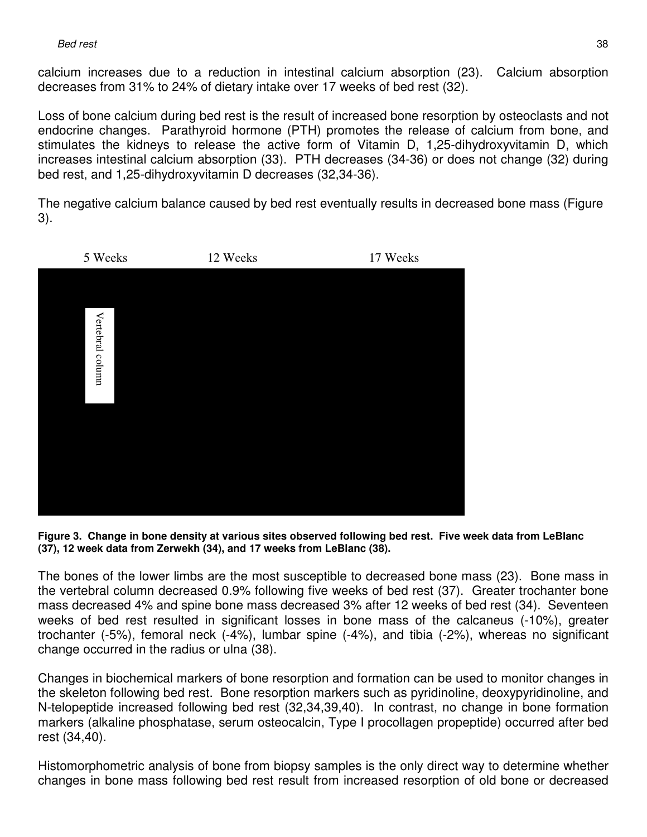calcium increases due to a reduction in intestinal calcium absorption (23). Calcium absorption decreases from 31% to 24% of dietary intake over 17 weeks of bed rest (32).

Loss of bone calcium during bed rest is the result of increased bone resorption by osteoclasts and not endocrine changes. Parathyroid hormone (PTH) promotes the release of calcium from bone, and stimulates the kidneys to release the active form of Vitamin D, 1,25-dihydroxyvitamin D, which increases intestinal calcium absorption (33). PTH decreases (34-36) or does not change (32) during bed rest, and 1,25-dihydroxyvitamin D decreases (32,34-36).

The negative calcium balance caused by bed rest eventually results in decreased bone mass (Figure 3).



**Figure 3. Change in bone density at various sites observed following bed rest. Five week data from LeBlanc (37), 12 week data from Zerwekh (34), and 17 weeks from LeBlanc (38).** 

The bones of the lower limbs are the most susceptible to decreased bone mass (23). Bone mass in the vertebral column decreased 0.9% following five weeks of bed rest (37). Greater trochanter bone mass decreased 4% and spine bone mass decreased 3% after 12 weeks of bed rest (34). Seventeen weeks of bed rest resulted in significant losses in bone mass of the calcaneus (-10%), greater trochanter (-5%), femoral neck (-4%), lumbar spine (-4%), and tibia (-2%), whereas no significant change occurred in the radius or ulna (38).

Changes in biochemical markers of bone resorption and formation can be used to monitor changes in the skeleton following bed rest. Bone resorption markers such as pyridinoline, deoxypyridinoline, and N-telopeptide increased following bed rest (32,34,39,40). In contrast, no change in bone formation markers (alkaline phosphatase, serum osteocalcin, Type I procollagen propeptide) occurred after bed rest (34,40).

Histomorphometric analysis of bone from biopsy samples is the only direct way to determine whether changes in bone mass following bed rest result from increased resorption of old bone or decreased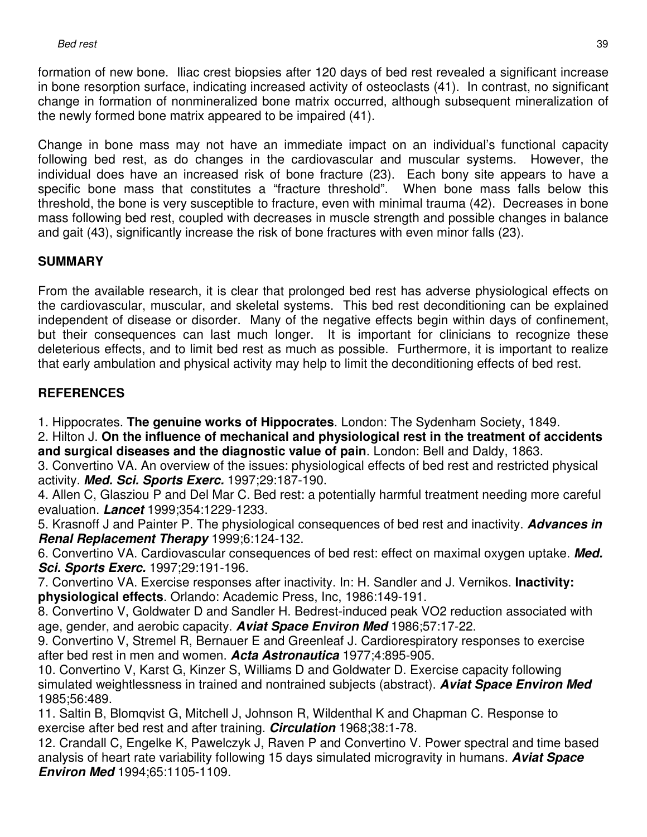formation of new bone. Iliac crest biopsies after 120 days of bed rest revealed a significant increase in bone resorption surface, indicating increased activity of osteoclasts (41). In contrast, no significant change in formation of nonmineralized bone matrix occurred, although subsequent mineralization of the newly formed bone matrix appeared to be impaired (41).

Change in bone mass may not have an immediate impact on an individual's functional capacity following bed rest, as do changes in the cardiovascular and muscular systems. However, the individual does have an increased risk of bone fracture (23). Each bony site appears to have a specific bone mass that constitutes a "fracture threshold". When bone mass falls below this threshold, the bone is very susceptible to fracture, even with minimal trauma (42). Decreases in bone mass following bed rest, coupled with decreases in muscle strength and possible changes in balance and gait (43), significantly increase the risk of bone fractures with even minor falls (23).

## **SUMMARY**

From the available research, it is clear that prolonged bed rest has adverse physiological effects on the cardiovascular, muscular, and skeletal systems. This bed rest deconditioning can be explained independent of disease or disorder. Many of the negative effects begin within days of confinement, but their consequences can last much longer. It is important for clinicians to recognize these deleterious effects, and to limit bed rest as much as possible. Furthermore, it is important to realize that early ambulation and physical activity may help to limit the deconditioning effects of bed rest.

## **REFERENCES**

1. Hippocrates. **The genuine works of Hippocrates**. London: The Sydenham Society, 1849.

2. Hilton J. **On the influence of mechanical and physiological rest in the treatment of accidents and surgical diseases and the diagnostic value of pain**. London: Bell and Daldy, 1863.

3. Convertino VA. An overview of the issues: physiological effects of bed rest and restricted physical activity. **Med. Sci. Sports Exerc.** 1997;29:187-190.

4. Allen C, Glasziou P and Del Mar C. Bed rest: a potentially harmful treatment needing more careful evaluation. **Lancet** 1999;354:1229-1233.

5. Krasnoff J and Painter P. The physiological consequences of bed rest and inactivity. **Advances in Renal Replacement Therapy** 1999;6:124-132.

6. Convertino VA. Cardiovascular consequences of bed rest: effect on maximal oxygen uptake. **Med. Sci. Sports Exerc.** 1997;29:191-196.

7. Convertino VA. Exercise responses after inactivity. In: H. Sandler and J. Vernikos. **Inactivity: physiological effects**. Orlando: Academic Press, Inc, 1986:149-191.

8. Convertino V, Goldwater D and Sandler H. Bedrest-induced peak VO2 reduction associated with age, gender, and aerobic capacity. **Aviat Space Environ Med** 1986;57:17-22.

9. Convertino V, Stremel R, Bernauer E and Greenleaf J. Cardiorespiratory responses to exercise after bed rest in men and women. **Acta Astronautica** 1977;4:895-905.

10. Convertino V, Karst G, Kinzer S, Williams D and Goldwater D. Exercise capacity following simulated weightlessness in trained and nontrained subjects (abstract). **Aviat Space Environ Med** 1985;56:489.

11. Saltin B, Blomqvist G, Mitchell J, Johnson R, Wildenthal K and Chapman C. Response to exercise after bed rest and after training. **Circulation** 1968;38:1-78.

12. Crandall C, Engelke K, Pawelczyk J, Raven P and Convertino V. Power spectral and time based analysis of heart rate variability following 15 days simulated microgravity in humans. **Aviat Space Environ Med** 1994;65:1105-1109.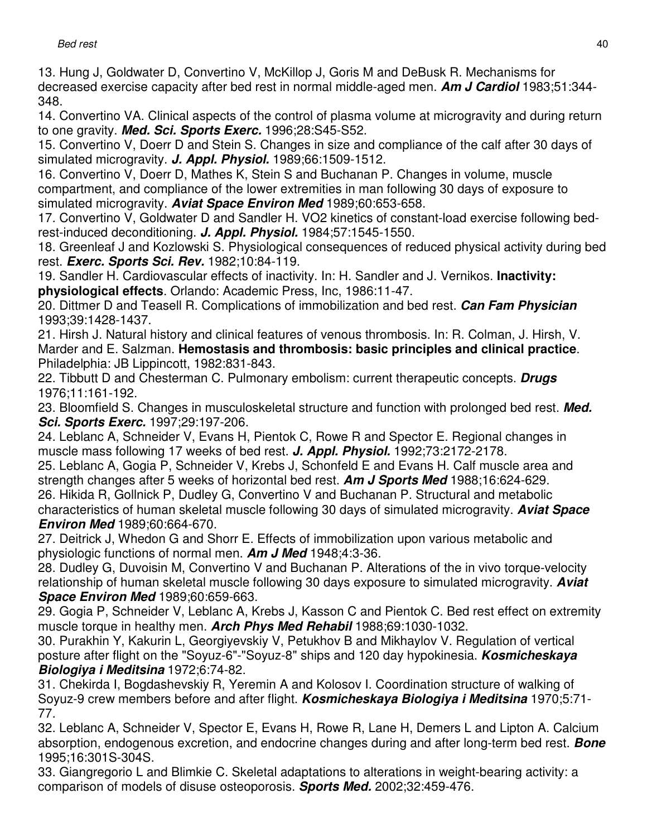13. Hung J, Goldwater D, Convertino V, McKillop J, Goris M and DeBusk R. Mechanisms for decreased exercise capacity after bed rest in normal middle-aged men. **Am J Cardiol** 1983;51:344- 348.

14. Convertino VA. Clinical aspects of the control of plasma volume at microgravity and during return to one gravity. **Med. Sci. Sports Exerc.** 1996;28:S45-S52.

15. Convertino V, Doerr D and Stein S. Changes in size and compliance of the calf after 30 days of simulated microgravity. **J. Appl. Physiol.** 1989;66:1509-1512.

16. Convertino V, Doerr D, Mathes K, Stein S and Buchanan P. Changes in volume, muscle compartment, and compliance of the lower extremities in man following 30 days of exposure to simulated microgravity. **Aviat Space Environ Med** 1989;60:653-658.

17. Convertino V, Goldwater D and Sandler H. VO2 kinetics of constant-load exercise following bedrest-induced deconditioning. **J. Appl. Physiol.** 1984;57:1545-1550.

18. Greenleaf J and Kozlowski S. Physiological consequences of reduced physical activity during bed rest. **Exerc. Sports Sci. Rev.** 1982;10:84-119.

19. Sandler H. Cardiovascular effects of inactivity. In: H. Sandler and J. Vernikos. **Inactivity: physiological effects**. Orlando: Academic Press, Inc, 1986:11-47.

20. Dittmer D and Teasell R. Complications of immobilization and bed rest. **Can Fam Physician** 1993;39:1428-1437.

21. Hirsh J. Natural history and clinical features of venous thrombosis. In: R. Colman, J. Hirsh, V. Marder and E. Salzman. **Hemostasis and thrombosis: basic principles and clinical practice**. Philadelphia: JB Lippincott, 1982:831-843.

22. Tibbutt D and Chesterman C. Pulmonary embolism: current therapeutic concepts. **Drugs** 1976;11:161-192.

23. Bloomfield S. Changes in musculoskeletal structure and function with prolonged bed rest. **Med. Sci. Sports Exerc.** 1997;29:197-206.

24. Leblanc A, Schneider V, Evans H, Pientok C, Rowe R and Spector E. Regional changes in muscle mass following 17 weeks of bed rest. **J. Appl. Physiol.** 1992;73:2172-2178.

25. Leblanc A, Gogia P, Schneider V, Krebs J, Schonfeld E and Evans H. Calf muscle area and strength changes after 5 weeks of horizontal bed rest. **Am J Sports Med** 1988;16:624-629. 26. Hikida R, Gollnick P, Dudley G, Convertino V and Buchanan P. Structural and metabolic characteristics of human skeletal muscle following 30 days of simulated microgravity. **Aviat Space Environ Med** 1989;60:664-670.

27. Deitrick J, Whedon G and Shorr E. Effects of immobilization upon various metabolic and physiologic functions of normal men. **Am J Med** 1948;4:3-36.

28. Dudley G, Duvoisin M, Convertino V and Buchanan P. Alterations of the in vivo torque-velocity relationship of human skeletal muscle following 30 days exposure to simulated microgravity. **Aviat Space Environ Med** 1989;60:659-663.

29. Gogia P, Schneider V, Leblanc A, Krebs J, Kasson C and Pientok C. Bed rest effect on extremity muscle torque in healthy men. **Arch Phys Med Rehabil** 1988;69:1030-1032.

30. Purakhin Y, Kakurin L, Georgiyevskiy V, Petukhov B and Mikhaylov V. Regulation of vertical posture after flight on the "Soyuz-6"-"Soyuz-8" ships and 120 day hypokinesia. **Kosmicheskaya Biologiya i Meditsina** 1972;6:74-82.

31. Chekirda I, Bogdashevskiy R, Yeremin A and Kolosov I. Coordination structure of walking of Soyuz-9 crew members before and after flight. **Kosmicheskaya Biologiya i Meditsina** 1970;5:71- 77.

32. Leblanc A, Schneider V, Spector E, Evans H, Rowe R, Lane H, Demers L and Lipton A. Calcium absorption, endogenous excretion, and endocrine changes during and after long-term bed rest. **Bone** 1995;16:301S-304S.

33. Giangregorio L and Blimkie C. Skeletal adaptations to alterations in weight-bearing activity: a comparison of models of disuse osteoporosis. **Sports Med.** 2002;32:459-476.